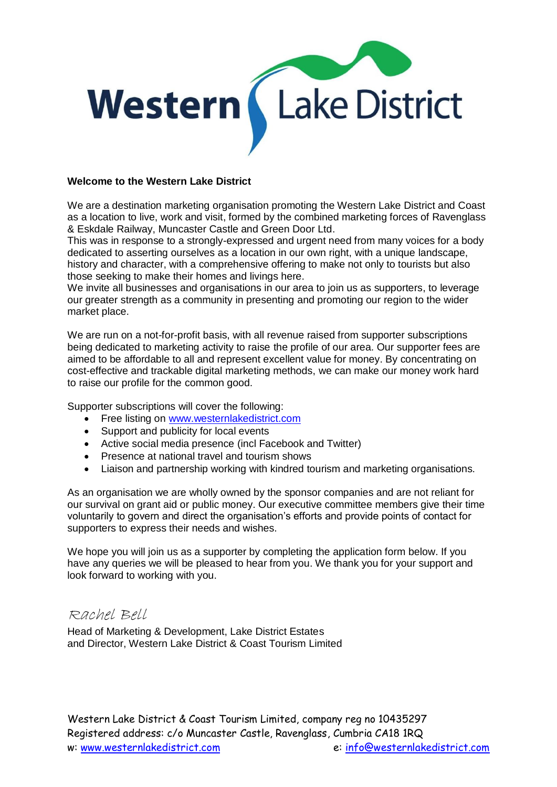

#### **Welcome to the Western Lake District**

We are a destination marketing organisation promoting the Western Lake District and Coast as a location to live, work and visit, formed by the combined marketing forces of Ravenglass & Eskdale Railway, Muncaster Castle and Green Door Ltd.

This was in response to a strongly-expressed and urgent need from many voices for a body dedicated to asserting ourselves as a location in our own right, with a unique landscape, history and character, with a comprehensive offering to make not only to tourists but also those seeking to make their homes and livings here.

We invite all businesses and organisations in our area to join us as supporters, to leverage our greater strength as a community in presenting and promoting our region to the wider market place.

We are run on a not-for-profit basis, with all revenue raised from supporter subscriptions being dedicated to marketing activity to raise the profile of our area. Our supporter fees are aimed to be affordable to all and represent excellent value for money. By concentrating on cost-effective and trackable digital marketing methods, we can make our money work hard to raise our profile for the common good.

Supporter subscriptions will cover the following:

- Free listing on [www.westernlakedistrict.com](http://www.westernlakedistrict.com/)
- Support and publicity for local events
- Active social media presence (incl Facebook and Twitter)
- Presence at national travel and tourism shows
- Liaison and partnership working with kindred tourism and marketing organisations.

As an organisation we are wholly owned by the sponsor companies and are not reliant for our survival on grant aid or public money. Our executive committee members give their time voluntarily to govern and direct the organisation's efforts and provide points of contact for supporters to express their needs and wishes.

We hope you will join us as a supporter by completing the application form below. If you have any queries we will be pleased to hear from you. We thank you for your support and look forward to working with you.

# Rachel Bell

Head of Marketing & Development, Lake District Estates and Director, Western Lake District & Coast Tourism Limited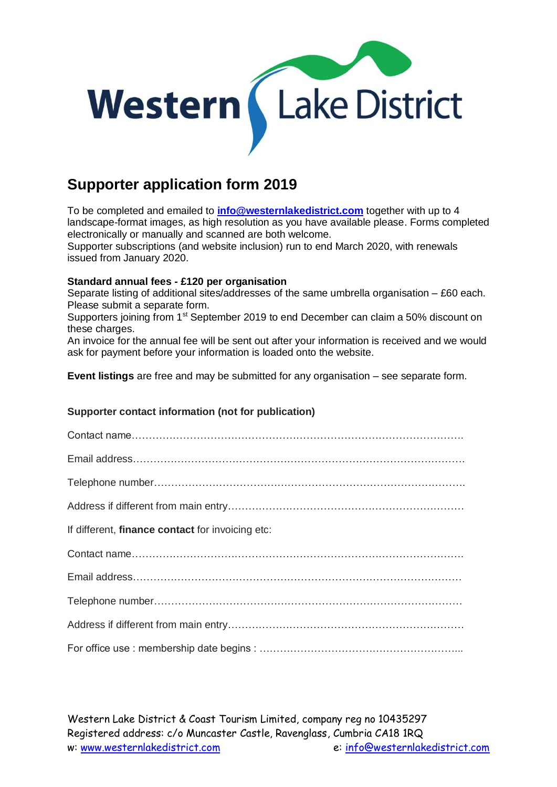

# **Supporter application form 2019**

To be completed and emailed to **[info@westernlakedistrict.com](mailto:info@westernlakedistrict.com)** together with up to 4 landscape-format images, as high resolution as you have available please. Forms completed electronically or manually and scanned are both welcome.

Supporter subscriptions (and website inclusion) run to end March 2020, with renewals issued from January 2020.

### **Standard annual fees - £120 per organisation**

Separate listing of additional sites/addresses of the same umbrella organisation – £60 each. Please submit a separate form.

Supporters joining from 1<sup>st</sup> September 2019 to end December can claim a 50% discount on these charges.

An invoice for the annual fee will be sent out after your information is received and we would ask for payment before your information is loaded onto the website.

**Event listings** are free and may be submitted for any organisation – see separate form.

## **Supporter contact information (not for publication)**

| If different, <b>finance contact</b> for invoicing etc: |
|---------------------------------------------------------|
|                                                         |
|                                                         |
|                                                         |
|                                                         |
|                                                         |

Western Lake District & Coast Tourism Limited, company reg no 10435297 Registered address: c/o Muncaster Castle, Ravenglass, Cumbria CA18 1RQ w: [www.westernlakedistrict.com](http://www.westernlakedistrict.co.uk/) e: [info@westernlakedistrict.com](mailto:info@westernlakedistrict.com)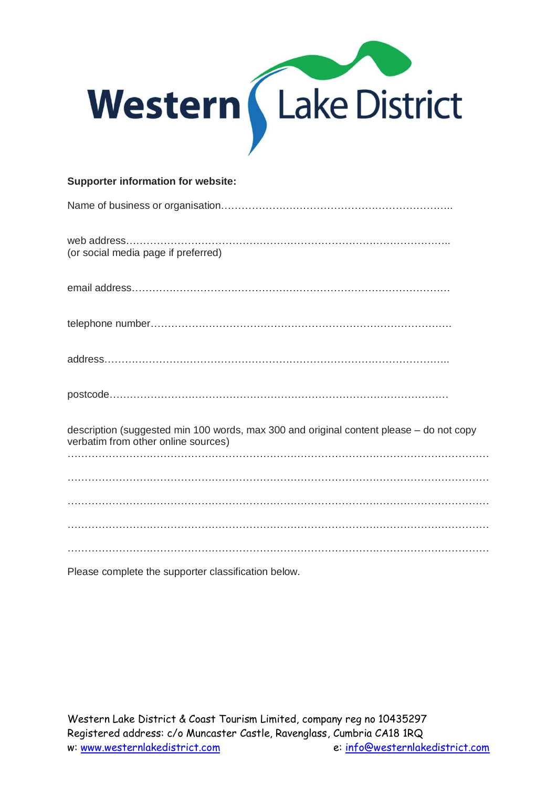

| <b>Supporter information for website:</b>                                                                                      |
|--------------------------------------------------------------------------------------------------------------------------------|
|                                                                                                                                |
| (or social media page if preferred)                                                                                            |
|                                                                                                                                |
|                                                                                                                                |
|                                                                                                                                |
|                                                                                                                                |
| description (suggested min 100 words, max 300 and original content please - do not copy<br>verbatim from other online sources) |
|                                                                                                                                |
|                                                                                                                                |
|                                                                                                                                |
|                                                                                                                                |

Please complete the supporter classification below.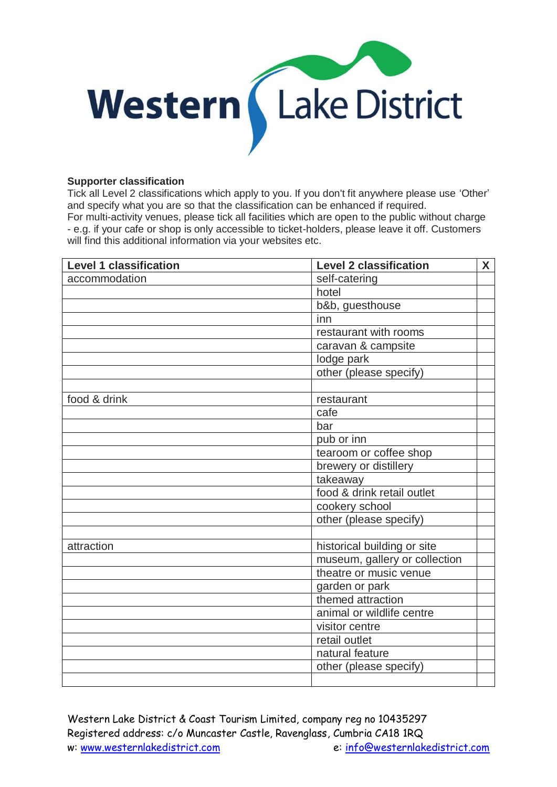

#### **Supporter classification**

Tick all Level 2 classifications which apply to you. If you don't fit anywhere please use 'Other' and specify what you are so that the classification can be enhanced if required. For multi-activity venues, please tick all facilities which are open to the public without charge - e.g. if your cafe or shop is only accessible to ticket-holders, please leave it off. Customers will find this additional information via your websites etc.

| <b>Level 1 classification</b> | <b>Level 2 classification</b> | <b>X</b> |
|-------------------------------|-------------------------------|----------|
| accommodation                 | self-catering                 |          |
|                               | hotel                         |          |
|                               | b&b, guesthouse               |          |
|                               | inn                           |          |
|                               | restaurant with rooms         |          |
|                               | caravan & campsite            |          |
|                               | lodge park                    |          |
|                               | other (please specify)        |          |
|                               |                               |          |
| food & drink                  | restaurant                    |          |
|                               | cafe                          |          |
|                               | bar                           |          |
|                               | pub or inn                    |          |
|                               | tearoom or coffee shop        |          |
|                               | brewery or distillery         |          |
|                               | takeaway                      |          |
|                               | food & drink retail outlet    |          |
|                               | cookery school                |          |
|                               | other (please specify)        |          |
|                               |                               |          |
| attraction                    | historical building or site   |          |
|                               | museum, gallery or collection |          |
|                               | theatre or music venue        |          |
|                               | garden or park                |          |
|                               | themed attraction             |          |
|                               | animal or wildlife centre     |          |
|                               | visitor centre                |          |
|                               | retail outlet                 |          |
|                               | natural feature               |          |
|                               | other (please specify)        |          |
|                               |                               |          |

Western Lake District & Coast Tourism Limited, company reg no 10435297 Registered address: c/o Muncaster Castle, Ravenglass, Cumbria CA18 1RQ w: [www.westernlakedistrict.com](http://www.westernlakedistrict.co.uk/) e: [info@westernlakedistrict.com](mailto:info@westernlakedistrict.com)